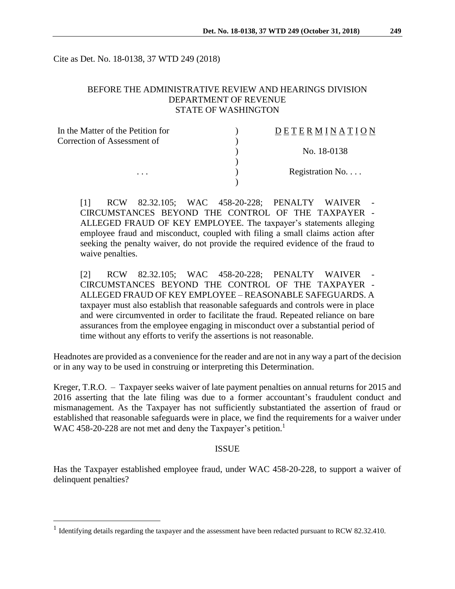Cite as Det. No. 18-0138, 37 WTD 249 (2018)

## BEFORE THE ADMINISTRATIVE REVIEW AND HEARINGS DIVISION DEPARTMENT OF REVENUE STATE OF WASHINGTON

| In the Matter of the Petition for | DETERMINATION   |
|-----------------------------------|-----------------|
| Correction of Assessment of       |                 |
|                                   | No. 18-0138     |
|                                   |                 |
| $\cdots$                          | Registration No |
|                                   |                 |

[1] RCW 82.32.105; WAC 458-20-228; PENALTY WAIVER CIRCUMSTANCES BEYOND THE CONTROL OF THE TAXPAYER - ALLEGED FRAUD OF KEY EMPLOYEE. The taxpayer's statements alleging employee fraud and misconduct, coupled with filing a small claims action after seeking the penalty waiver, do not provide the required evidence of the fraud to waive penalties.

[2] RCW 82.32.105; WAC 458-20-228; PENALTY WAIVER CIRCUMSTANCES BEYOND THE CONTROL OF THE TAXPAYER - ALLEGED FRAUD OF KEY EMPLOYEE – REASONABLE SAFEGUARDS. A taxpayer must also establish that reasonable safeguards and controls were in place and were circumvented in order to facilitate the fraud. Repeated reliance on bare assurances from the employee engaging in misconduct over a substantial period of time without any efforts to verify the assertions is not reasonable.

Headnotes are provided as a convenience for the reader and are not in any way a part of the decision or in any way to be used in construing or interpreting this Determination.

Kreger, T.R.O. – Taxpayer seeks waiver of late payment penalties on annual returns for 2015 and 2016 asserting that the late filing was due to a former accountant's fraudulent conduct and mismanagement. As the Taxpayer has not sufficiently substantiated the assertion of fraud or established that reasonable safeguards were in place, we find the requirements for a waiver under WAC 458-20-228 are not met and deny the Taxpayer's petition.<sup>1</sup>

#### ISSUE

Has the Taxpayer established employee fraud, under WAC 458-20-228, to support a waiver of delinquent penalties?

 $\overline{a}$ 

<sup>&</sup>lt;sup>1</sup> Identifying details regarding the taxpayer and the assessment have been redacted pursuant to RCW 82.32.410.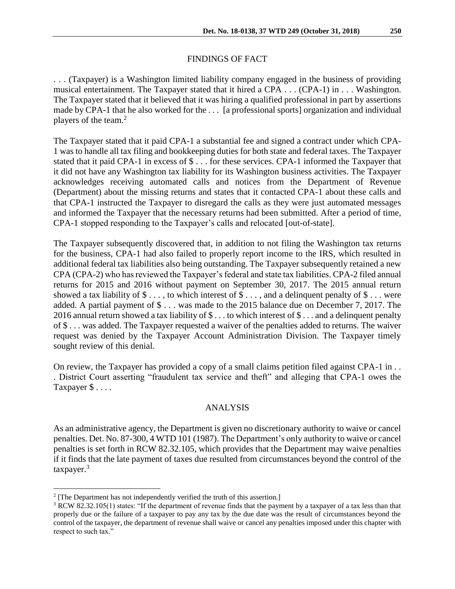## FINDINGS OF FACT

. . . (Taxpayer) is a Washington limited liability company engaged in the business of providing musical entertainment. The Taxpayer stated that it hired a CPA . . . (CPA-1) in . . . Washington. The Taxpayer stated that it believed that it was hiring a qualified professional in part by assertions made by CPA-1 that he also worked for the . . . [a professional sports] organization and individual players of the team. 2

The Taxpayer stated that it paid CPA-1 a substantial fee and signed a contract under which CPA-1 was to handle all tax filing and bookkeeping duties for both state and federal taxes. The Taxpayer stated that it paid CPA-1 in excess of \$ . . . for these services. CPA-1 informed the Taxpayer that it did not have any Washington tax liability for its Washington business activities. The Taxpayer acknowledges receiving automated calls and notices from the Department of Revenue (Department) about the missing returns and states that it contacted CPA-1 about these calls and that CPA-1 instructed the Taxpayer to disregard the calls as they were just automated messages and informed the Taxpayer that the necessary returns had been submitted. After a period of time, CPA-1 stopped responding to the Taxpayer's calls and relocated [out-of-state].

The Taxpayer subsequently discovered that, in addition to not filing the Washington tax returns for the business, CPA-1 had also failed to properly report income to the IRS, which resulted in additional federal tax liabilities also being outstanding. The Taxpayer subsequently retained a new CPA (CPA-2) who has reviewed the Taxpayer's federal and state tax liabilities. CPA-2 filed annual returns for 2015 and 2016 without payment on September 30, 2017. The 2015 annual return showed a tax liability of  $\$\dots$$ , to which interest of  $\$\dots$ , and a delinquent penalty of  $\$\dots$  were added. A partial payment of \$ . . . was made to the 2015 balance due on December 7, 2017. The 2016 annual return showed a tax liability of  $\$\dots$  to which interest of  $\$\dots$  and a delinquent penalty of \$ . . . was added. The Taxpayer requested a waiver of the penalties added to returns. The waiver request was denied by the Taxpayer Account Administration Division. The Taxpayer timely sought review of this denial.

On review, the Taxpayer has provided a copy of a small claims petition filed against CPA-1 in . . . District Court asserting "fraudulent tax service and theft" and alleging that CPA-1 owes the Taxpayer \$ . . . .

#### ANALYSIS

As an administrative agency, the Department is given no discretionary authority to waive or cancel penalties. Det. No. 87-300, 4 WTD 101 (1987). The Department's only authority to waive or cancel penalties is set forth in RCW 82.32.105, which provides that the Department may waive penalties if it finds that the late payment of taxes due resulted from circumstances beyond the control of the taxpayer.<sup>3</sup>

 $\overline{a}$ 

 $2$  [The Department has not independently verified the truth of this assertion.]

<sup>&</sup>lt;sup>3</sup> RCW 82.32.105(1) states: "If the department of revenue finds that the payment by a taxpayer of a tax less than that properly due or the failure of a taxpayer to pay any tax by the due date was the result of circumstances beyond the control of the taxpayer, the department of revenue shall waive or cancel any penalties imposed under this chapter with respect to such tax."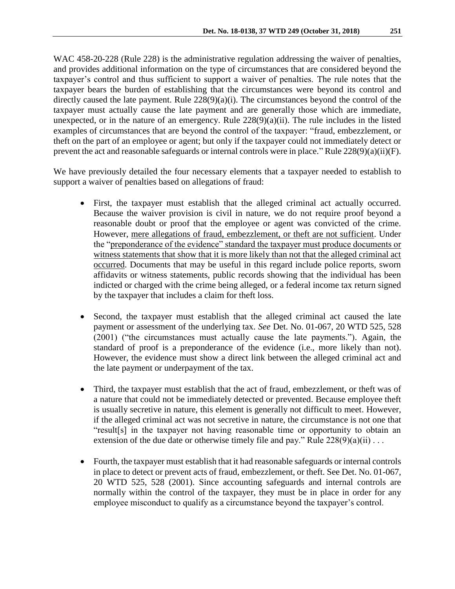WAC 458-20-228 (Rule 228) is the administrative regulation addressing the waiver of penalties, and provides additional information on the type of circumstances that are considered beyond the taxpayer's control and thus sufficient to support a waiver of penalties. The rule notes that the taxpayer bears the burden of establishing that the circumstances were beyond its control and directly caused the late payment. Rule  $228(9)(a)(i)$ . The circumstances beyond the control of the taxpayer must actually cause the late payment and are generally those which are immediate, unexpected, or in the nature of an emergency. Rule  $228(9)(a)(ii)$ . The rule includes in the listed examples of circumstances that are beyond the control of the taxpayer: "fraud, embezzlement, or theft on the part of an employee or agent; but only if the taxpayer could not immediately detect or prevent the act and reasonable safeguards or internal controls were in place." Rule 228(9)(a)(ii)(F).

We have previously detailed the four necessary elements that a taxpayer needed to establish to support a waiver of penalties based on allegations of fraud:

- First, the taxpayer must establish that the alleged criminal act actually occurred. Because the waiver provision is civil in nature, we do not require proof beyond a reasonable doubt or proof that the employee or agent was convicted of the crime. However, mere allegations of fraud, embezzlement, or theft are not sufficient. Under the "preponderance of the evidence" standard the taxpayer must produce documents or witness statements that show that it is more likely than not that the alleged criminal act occurred. Documents that may be useful in this regard include police reports, sworn affidavits or witness statements, public records showing that the individual has been indicted or charged with the crime being alleged, or a federal income tax return signed by the taxpayer that includes a claim for theft loss.
- Second, the taxpayer must establish that the alleged criminal act caused the late payment or assessment of the underlying tax. *See* Det. No. 01-067, 20 WTD 525, 528 (2001) ("the circumstances must actually cause the late payments."). Again, the standard of proof is a preponderance of the evidence (i.e., more likely than not). However, the evidence must show a direct link between the alleged criminal act and the late payment or underpayment of the tax.
- Third, the taxpayer must establish that the act of fraud, embezzlement, or theft was of a nature that could not be immediately detected or prevented. Because employee theft is usually secretive in nature, this element is generally not difficult to meet. However, if the alleged criminal act was not secretive in nature, the circumstance is not one that "result[s] in the taxpayer not having reasonable time or opportunity to obtain an extension of the due date or otherwise timely file and pay." Rule  $228(9)(a)(ii) \ldots$
- Fourth, the taxpayer must establish that it had reasonable safeguards or internal controls in place to detect or prevent acts of fraud, embezzlement, or theft. See Det. No. 01-067, 20 WTD 525, 528 (2001). Since accounting safeguards and internal controls are normally within the control of the taxpayer, they must be in place in order for any employee misconduct to qualify as a circumstance beyond the taxpayer's control.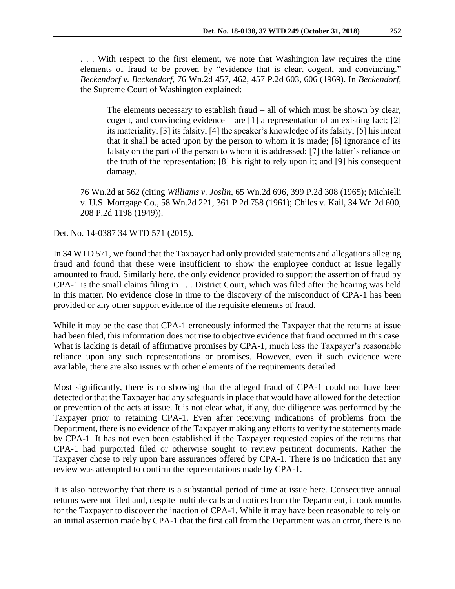. . . With respect to the first element, we note that Washington law requires the nine elements of fraud to be proven by "evidence that is clear, cogent, and convincing." *Beckendorf v. Beckendorf*, 76 Wn.2d 457, 462, 457 P.2d 603, 606 (1969). In *Beckendorf,* the Supreme Court of Washington explained:

The elements necessary to establish fraud – all of which must be shown by clear, cogent, and convincing evidence – are  $[1]$  a representation of an existing fact;  $[2]$ its materiality; [3] its falsity; [4] the speaker's knowledge of its falsity; [5] his intent that it shall be acted upon by the person to whom it is made; [6] ignorance of its falsity on the part of the person to whom it is addressed; [7] the latter's reliance on the truth of the representation; [8] his right to rely upon it; and [9] his consequent damage.

76 Wn.2d at 562 (citing *Williams v. Joslin*, 65 Wn.2d 696, 399 P.2d 308 (1965); Michielli v. U.S. Mortgage Co., 58 Wn.2d 221, 361 P.2d 758 (1961); Chiles v. Kail, 34 Wn.2d 600, 208 P.2d 1198 (1949)).

Det. No. 14-0387 34 WTD 571 (2015).

In 34 WTD 571, we found that the Taxpayer had only provided statements and allegations alleging fraud and found that these were insufficient to show the employee conduct at issue legally amounted to fraud. Similarly here, the only evidence provided to support the assertion of fraud by CPA-1 is the small claims filing in . . . District Court, which was filed after the hearing was held in this matter. No evidence close in time to the discovery of the misconduct of CPA-1 has been provided or any other support evidence of the requisite elements of fraud.

While it may be the case that CPA-1 erroneously informed the Taxpayer that the returns at issue had been filed, this information does not rise to objective evidence that fraud occurred in this case. What is lacking is detail of affirmative promises by CPA-1, much less the Taxpayer's reasonable reliance upon any such representations or promises. However, even if such evidence were available, there are also issues with other elements of the requirements detailed.

Most significantly, there is no showing that the alleged fraud of CPA-1 could not have been detected or that the Taxpayer had any safeguards in place that would have allowed for the detection or prevention of the acts at issue. It is not clear what, if any, due diligence was performed by the Taxpayer prior to retaining CPA-1. Even after receiving indications of problems from the Department, there is no evidence of the Taxpayer making any efforts to verify the statements made by CPA-1. It has not even been established if the Taxpayer requested copies of the returns that CPA-1 had purported filed or otherwise sought to review pertinent documents. Rather the Taxpayer chose to rely upon bare assurances offered by CPA-1. There is no indication that any review was attempted to confirm the representations made by CPA-1.

It is also noteworthy that there is a substantial period of time at issue here. Consecutive annual returns were not filed and, despite multiple calls and notices from the Department, it took months for the Taxpayer to discover the inaction of CPA-1. While it may have been reasonable to rely on an initial assertion made by CPA-1 that the first call from the Department was an error, there is no